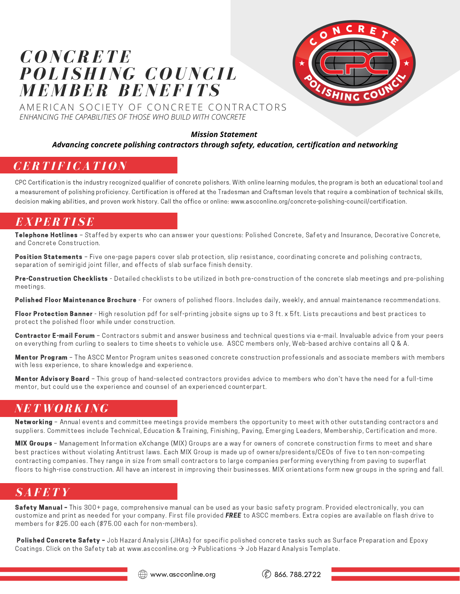# *C O NCRETE P O L I SHING C O UNCI L M E M BER BENEF ITS*



AMERICAN SOCIETY OF CONCRETE CONTRACTORS *ENHANCING THE CAPABILITIES OF THOSE WHO BUILD WITH CONCRETE*

#### *Mission Statement*

#### *Advancing concrete polishing contractors through safety, education, certification and networking*

## *CERTI F ICATI O N*

CPC Certification is the industry recognized qualifier of concrete polishers. With online learning modules, the program is both an educational tool and a measurement of polishing proficiency. Certification is offered at the Tradesman and Craftsman levels that require a combination of technical skills, decision making abilities, and proven work history. Call the office or online: www.ascconline.org/concrete-polishing-council/certification.

#### *EXPERTI SE*

Telephone Hotlines - Staffed by experts who can answer your questions: Polished Concrete, Safety and Insurance, Decorative Concrete, and Concrete Construction.

Position Statements - Five one-page papers cover slab protection, slip resistance, coordinating concrete and polishing contracts, separation of semirigid joint filler, and effects of slab surface finish density.

Pre-Construction Checklists - Detailed checklists to be utilized in both pre-construction of the concrete slab meetings and pre-polishing meetings.

Polished Floor Maintenance Brochure - For owners of polished floors. Includes daily, weekly, and annual maintenance recommendations.

Floor Protection Banner - High resolution pdf for self-printing jobsite signs up to 3 ft. x 5ft. Lists precautions and best practices to protect the polished floor while under construction.

Contractor E-mail Forum - Contractors submit and answer business and technical questions via e-mail. Invaluable advice from your peers on everything from curling to sealers to time sheets to vehicle use. ASCC members only, Web-based archive contains all Q & A.

Mentor Program - The ASCC Mentor Program unites seasoned concrete construction professionals and associate members with members with less experience, to share knowledge and experience.

Mentor Advisory Board - This group of hand-selected contractors provides advice to members who don't have the need for a full-time mentor, but could use the experience and counsel of an experienced counterpart.

#### *NET W O RKING*

Networking - Annual events and committee meetings provide members the opportunity to meet with other outstanding contractors and suppliers. Committees include Technical, Education & Training, Finishing, Paving, Emerging Leaders, Membership, Certification and more.

MIX Groups - Management Information eXchange (MIX) Groups are a way for owners of concrete construction firms to meet and share best practices without violating Antitrust laws. Each MIX Group is made up of owners/presidents/CEOs of five to ten non-competing contracting companies. They range in size from small contractors to large companies performing everything from paving to superflat floors to high-rise construction. All have an interest in improving their businesses. MIX orientations form new groups in the spring and fall.

#### *SAFETY*

Safety Manual - This 300+ page, comprehensive manual can be used as your basic safety program. Provided electronically, you can customize and print as needed for your company. First file provided FREE to ASCC members. Extra copies are available on flash drive to members for \$25.00 each (\$75.00 each for non-members).

Polished Concrete Safety - Job Hazard Analysis (JHAs) for specific polished concrete tasks such as Surface Preparation and Epoxy Coatings. Click on the Safety tab at www.ascconline.org  $\rightarrow$  Publications  $\rightarrow$  Job Hazard Analysis Template.